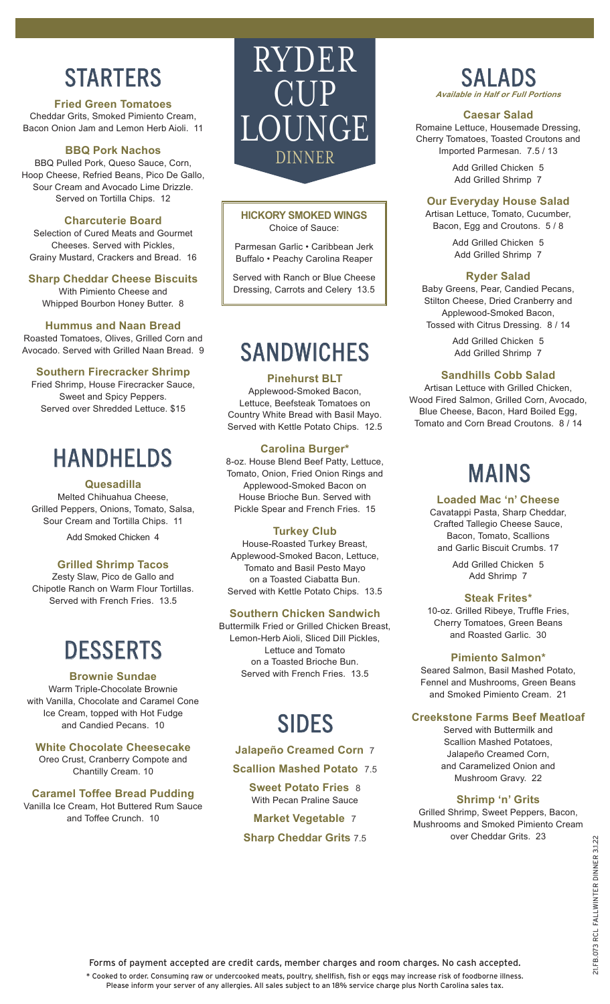# **STARTERS**

**Fried Green Tomatoes** Cheddar Grits, Smoked Pimiento Cream, Bacon Onion Jam and Lemon Herb Aioli. 11

### **BBQ Pork Nachos**

BBQ Pulled Pork, Queso Sauce, Corn, Hoop Cheese, Refried Beans, Pico De Gallo, Sour Cream and Avocado Lime Drizzle. Served on Tortilla Chips. 12

### **Charcuterie Board**

Selection of Cured Meats and Gourmet Cheeses. Served with Pickles, Grainy Mustard, Crackers and Bread. 16

### **Sharp Cheddar Cheese Biscuits**

With Pimiento Cheese and Whipped Bourbon Honey Butter. 8

### **Hummus and Naan Bread**

Roasted Tomatoes, Olives, Grilled Corn and Avocado. Served with Grilled Naan Bread. 9

### **Southern Firecracker Shrimp**

Fried Shrimp, House Firecracker Sauce, Sweet and Spicy Peppers. Served over Shredded Lettuce. \$15

# HANDHELDS

### **Quesadilla**

Melted Chihuahua Cheese, Grilled Peppers, Onions, Tomato, Salsa, Sour Cream and Tortilla Chips. 11

Add Smoked Chicken 4

### **Grilled Shrimp Tacos**

Zesty Slaw, Pico de Gallo and Chipotle Ranch on Warm Flour Tortillas. Served with French Fries. 13.5

# **DESSERTS**

### **Brownie Sundae**

Warm Triple-Chocolate Brownie with Vanilla, Chocolate and Caramel Cone Ice Cream, topped with Hot Fudge and Candied Pecans. 10

### **White Chocolate Cheesecake**

Oreo Crust, Cranberry Compote and Chantilly Cream. 10

### **Caramel Toffee Bread Pudding** Vanilla Ice Cream, Hot Buttered Rum Sauce and Toffee Crunch. 10



### **HICKORY SMOKED WINGS** Choice of Sauce:

Parmesan Garlic • Caribbean Jerk Buffalo • Peachy Carolina Reaper

Served with Ranch or Blue Cheese Dressing, Carrots and Celery 13.5

## **SANDWICHES**

### **Pinehurst BLT**

Applewood-Smoked Bacon, Lettuce, Beefsteak Tomatoes on Country White Bread with Basil Mayo. Served with Kettle Potato Chips. 12.5

### **Carolina Burger\***

8-oz. House Blend Beef Patty, Lettuce, Tomato, Onion, Fried Onion Rings and Applewood-Smoked Bacon on House Brioche Bun. Served with Pickle Spear and French Fries. 15

### **Turkey Club**

House-Roasted Turkey Breast, Applewood-Smoked Bacon, Lettuce, Tomato and Basil Pesto Mayo on a Toasted Ciabatta Bun. Served with Kettle Potato Chips. 13.5

### **Southern Chicken Sandwich**

Buttermilk Fried or Grilled Chicken Breast, Lemon-Herb Aioli, Sliced Dill Pickles, Lettuce and Tomato on a Toasted Brioche Bun. Served with French Fries. 13.5

## SIDES

### **Jalapeño Creamed Corn** 7

**Scallion Mashed Potato** 7.5

**Sweet Potato Fries** 8 With Pecan Praline Sauce **Market Vegetable** 7 **Sharp Cheddar Grits** 7.5



### **Caesar Salad**

Romaine Lettuce, Housemade Dressing, Cherry Tomatoes, Toasted Croutons and Imported Parmesan. 7.5 / 13

> Add Grilled Chicken 5 Add Grilled Shrimp 7

### **Our Everyday House Salad**

Artisan Lettuce, Tomato, Cucumber, Bacon, Egg and Croutons. 5 / 8

> Add Grilled Chicken 5 Add Grilled Shrimp 7

### **Ryder Salad**

Baby Greens, Pear, Candied Pecans, Stilton Cheese, Dried Cranberry and Applewood-Smoked Bacon, Tossed with Citrus Dressing. 8 / 14

> Add Grilled Chicken 5 Add Grilled Shrimp 7

### **Sandhills Cobb Salad**

Artisan Lettuce with Grilled Chicken, Wood Fired Salmon, Grilled Corn, Avocado, Blue Cheese, Bacon, Hard Boiled Egg, Tomato and Corn Bread Croutons. 8 / 14

## MAINS

### **Loaded Mac 'n' Cheese**

Cavatappi Pasta, Sharp Cheddar, Crafted Tallegio Cheese Sauce, Bacon, Tomato, Scallions and Garlic Biscuit Crumbs. 17

> Add Grilled Chicken 5 Add Shrimp 7

### **Steak Frites\***

10-oz. Grilled Ribeye, Truffle Fries, Cherry Tomatoes, Green Beans and Roasted Garlic. 30

#### **Pimiento Salmon\***

Seared Salmon, Basil Mashed Potato, Fennel and Mushrooms, Green Beans and Smoked Pimiento Cream. 21

### **Creekstone Farms Beef Meatloaf**

Served with Buttermilk and Scallion Mashed Potatoes, Jalapeño Creamed Corn, and Caramelized Onion and Mushroom Gravy. 22

### **Shrimp 'n' Grits**

Grilled Shrimp, Sweet Peppers, Bacon, Mushrooms and Smoked Pimiento Cream over Cheddar Grits. 23

Forms of payment accepted are credit cards, member charges and room charges. No cash accepted.

\* Cooked to order. Consuming raw or undercooked meats, poultry, shellfish, fish or eggs may increase risk of foodborne illness.

Please inform your server of any allergies. All sales subject to an 18% service charge plus North Carolina sales tax.